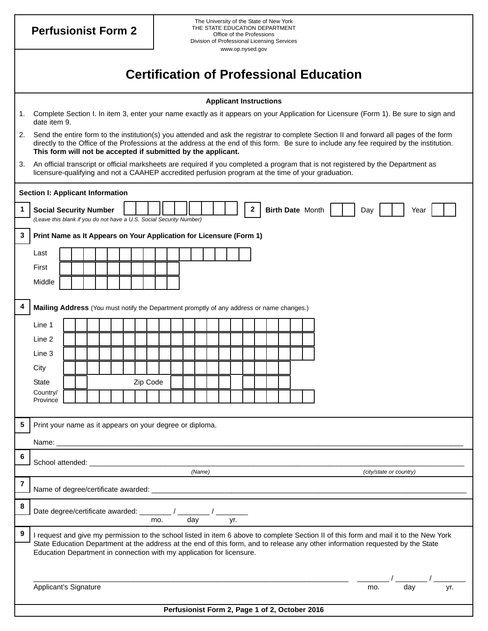**1. 2. Social Security Number 3. 3 4. 4 5. 5 7. 8. 9.** 6. **Perfusionist Form 2**  The University of the State of New York THE STATE EDUCATION DEPARTMENT Office of the Professions Division of Professional Licensing Services www.op.nysed.gov **Certification of Professional Education Applicant Instructions**  1. Complete Section I. In item 3, enter your name exactly as it appears on your Application for Licensure (Form 1). Be sure to sign and date item 9. 2. Send the entire form to the institution(s) you attended and ask the registrar to complete Section II and forward all pages of the form directly to the Office of the Professions at the address at the end of this form. Be sure to include any fee required by the institution. **This form will not be accepted if submitted by the applicant.**  3. An official transcript or official marksheets are required if you completed a program that is not registered by the Department as licensure-qualifying and not a CAAHEP accredited perfusion program at the time of your graduation. **Section I: Applicant Information 1**  *(Leave this blank if you do not have a U.S. Social Security Number)*  **2 Print Name as It Appears on Your Application for Licensure (Form 1)**  Last First Middle **Birth Date Month | | | Day | | | Year Mailing Address** (You must notify the Department promptly of any address or name changes.) Line 1 Line 2 Line 3 **City** State | | | Zip Code Country/ Province Print your name as it appears on your degree or diploma. Name: \_\_\_\_\_\_\_\_\_\_\_\_\_\_\_\_\_\_\_\_\_\_\_\_\_\_\_\_\_\_\_\_\_\_\_\_\_\_\_\_\_\_\_\_\_\_\_\_\_\_\_\_\_\_\_\_\_\_\_\_\_\_\_\_\_\_\_\_\_\_\_\_\_\_\_\_\_\_\_\_\_\_\_\_\_\_\_\_\_\_\_\_\_\_\_\_\_\_\_\_\_\_ **6**  School attended: \_\_\_\_\_\_\_\_\_\_\_\_\_\_\_\_\_\_\_\_\_\_\_\_\_\_\_\_\_\_\_\_\_\_\_\_\_\_\_\_\_\_\_\_\_\_\_\_\_\_\_\_\_\_\_\_\_\_\_\_\_\_\_\_\_\_\_\_\_\_\_\_\_\_\_\_\_\_\_\_\_\_\_\_\_\_\_\_\_\_\_\_\_\_ *(Name) (city/state or country)*  **7** Name of degree/certificate awarded: Date degree/certificate awarded: \_\_\_\_\_\_\_\_\_ / \_\_ mo. day yr. **9** I request and give my permission to the school listed in item 6 above to complete Section II of this form and mail it to the New York State Education Department at the address at the end of this form, and to release any other information requested by the State Education Department in connection with my application for licensure. \_\_\_\_\_\_\_\_\_\_\_\_\_\_\_\_\_\_\_\_\_\_\_\_\_\_\_\_\_\_\_\_\_\_\_\_\_\_\_\_\_\_\_\_\_\_\_\_\_\_\_\_\_\_\_\_\_\_\_\_\_\_\_\_\_\_\_\_\_\_\_\_\_\_\_\_\_\_\_ \_\_\_\_\_\_\_\_ / \_\_\_\_\_\_\_\_ / \_\_\_\_\_\_\_\_ Applicant's Signature mo. day yr. **Perfusionist Form 2, Page 1 of 2, October 2016**